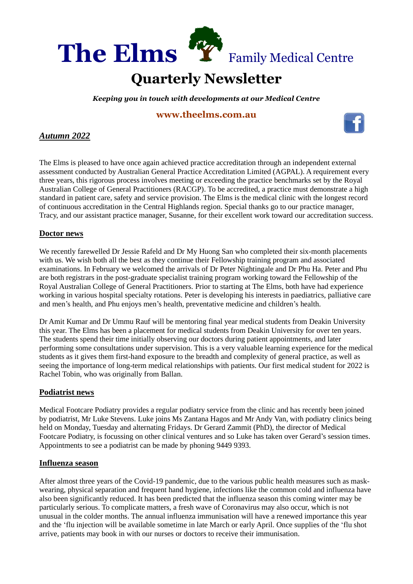

#### **Quarterly Newsletter** . . .

*Keeping you in touch with developments at our Medical Centre* QU

# **[www.theelms.com.au](http://www.theelms.com.au/)** AR



The Elms is pleased to have once again achieved practice accreditation through an independent external assessment conducted by Australian General Practice Accreditation Limited (AGPAL). A requirement every three years, this rigorous process involves meeting or exceeding the practice benchmarks set by the Royal Australian College of General Practitioners (RACGP). To be accredited, a practice must demonstrate a high standard in patient care, safety and service provision. The Elms is the medical clinic with the longest record of continuous accreditation in the Central Highlands region. Special thanks go to our practice manager, Tracy, and our assistant practice manager, Susanne, for their excellent work toward our accreditation success.

# **Doctor news**

We recently farewelled Dr Jessie Rafeld and Dr My Huong San who completed their six-month placements with us. We wish both all the best as they continue their Fellowship training program and associated examinations. In February we welcomed the arrivals of Dr Peter Nightingale and Dr Phu Ha. Peter and Phu are both registrars in the post-graduate specialist training program working toward the Fellowship of the Royal Australian College of General Practitioners. Prior to starting at The Elms, both have had experience working in various hospital specialty rotations. Peter is developing his interests in paediatrics, palliative care and men's health, and Phu enjoys men's health, preventative medicine and children's health.

Dr Amit Kumar and Dr Ummu Rauf will be mentoring final year medical students from Deakin University this year. The Elms has been a placement for medical students from Deakin University for over ten years. The students spend their time initially observing our doctors during patient appointments, and later performing some consultations under supervision. This is a very valuable learning experience for the medical students as it gives them first-hand exposure to the breadth and complexity of general practice, as well as seeing the importance of long-term medical relationships with patients. Our first medical student for 2022 is Rachel Tobin, who was originally from Ballan.

### **Podiatrist news**

Medical Footcare Podiatry provides a regular podiatry service from the clinic and has recently been joined by podiatrist, Mr Luke Stevens. Luke joins Ms Zantana Hagos and Mr Andy Van, with podiatry clinics being held on Monday, Tuesday and alternating Fridays. Dr Gerard Zammit (PhD), the director of Medical Footcare Podiatry, is focussing on other clinical ventures and so Luke has taken over Gerard's session times. Appointments to see a podiatrist can be made by phoning 9449 9393.

### **Influenza season**

After almost three years of the Covid-19 pandemic, due to the various public health measures such as maskwearing, physical separation and frequent hand hygiene, infections like the common cold and influenza have also been significantly reduced. It has been predicted that the influenza season this coming winter may be particularly serious. To complicate matters, a fresh wave of Coronavirus may also occur, which is not unusual in the colder months. The annual influenza immunisation will have a renewed importance this year and the 'flu injection will be available sometime in late March or early April. Once supplies of the 'flu shot arrive, patients may book in with our nurses or doctors to receive their immunisation.